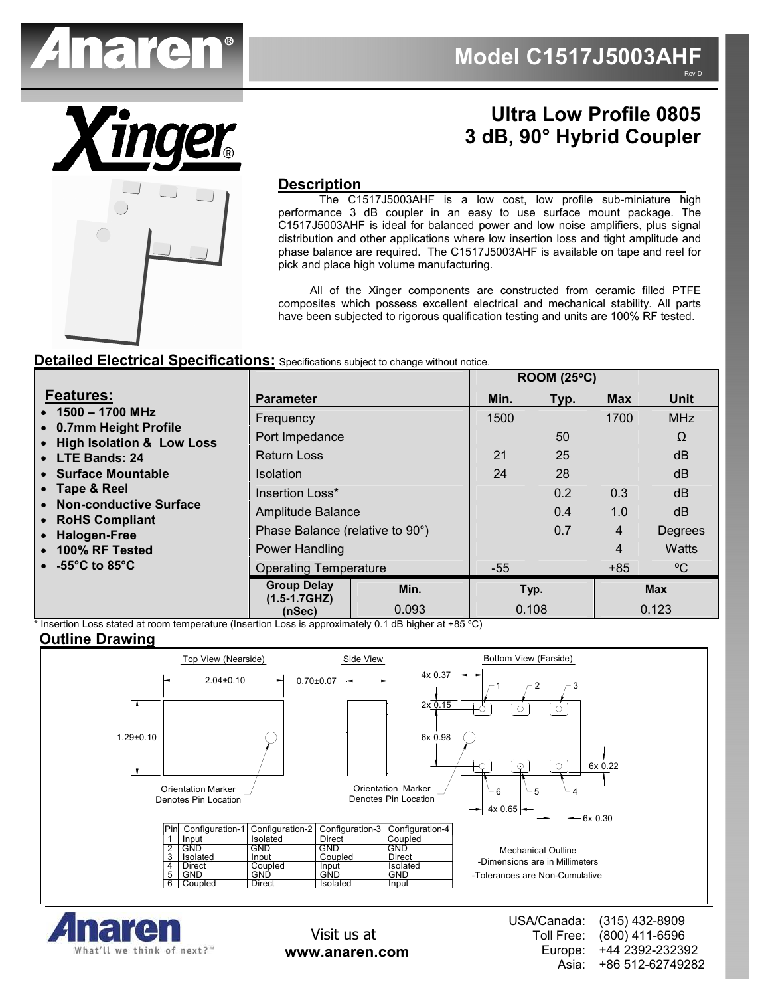

# **Description**

# **Ultra Low Profile 0805 3 dB, 90° Hybrid Coupler**

**ROOM (25**°**C)** 

 The C1517J5003AHF is a low cost, low profile sub-miniature high performance 3 dB coupler in an easy to use surface mount package. The C1517J5003AHF is ideal for balanced power and low noise amplifiers, plus signal distribution and other applications where low insertion loss and tight amplitude and phase balance are required. The C1517J5003AHF is available on tape and reel for pick and place high volume manufacturing.

 All of the Xinger components are constructed from ceramic filled PTFE composites which possess excellent electrical and mechanical stability. All parts have been subjected to rigorous qualification testing and units are 100% RF tested.

### **Detailed Electrical Specifications:** Specifications subject to change without notice.

|                                                                                                                                                                                                                                                                |                                      |       | ROOM (25°C) |      |                |              |
|----------------------------------------------------------------------------------------------------------------------------------------------------------------------------------------------------------------------------------------------------------------|--------------------------------------|-------|-------------|------|----------------|--------------|
| <b>Features:</b>                                                                                                                                                                                                                                               | <b>Parameter</b>                     |       | Min.        | Typ. | <b>Max</b>     | <b>Unit</b>  |
| $\bullet$ 1500 - 1700 MHz<br>• 0.7mm Height Profile<br>• High Isolation & Low Loss<br>• LTE Bands: 24<br>• Surface Mountable<br>• Tape & Reel<br>• Non-conductive Surface<br>• RoHS Compliant<br>• Halogen-Free<br>• 100% RF Tested<br>$\bullet$ -55°C to 85°C | Frequency                            |       | 1500        |      | 1700           | <b>MHz</b>   |
|                                                                                                                                                                                                                                                                | Port Impedance                       |       |             | 50   |                | Ω            |
|                                                                                                                                                                                                                                                                | <b>Return Loss</b>                   |       | 21          | 25   |                | dB           |
|                                                                                                                                                                                                                                                                | <b>Isolation</b>                     |       | 24          | 28   |                | dB           |
|                                                                                                                                                                                                                                                                | Insertion Loss*                      |       |             | 0.2  | 0.3            | dB           |
|                                                                                                                                                                                                                                                                | Amplitude Balance                    |       |             | 0.4  | 1.0            | dB           |
|                                                                                                                                                                                                                                                                | Phase Balance (relative to 90°)      |       |             | 0.7  | $\overline{4}$ | Degrees      |
|                                                                                                                                                                                                                                                                | Power Handling                       |       |             |      | $\overline{4}$ | <b>Watts</b> |
|                                                                                                                                                                                                                                                                | <b>Operating Temperature</b>         |       | $-55$       |      | $+85$          | $\rm ^{o}C$  |
|                                                                                                                                                                                                                                                                | <b>Group Delay</b><br>$(1.5-1.7GHz)$ | Min.  |             | Typ. |                | <b>Max</b>   |
|                                                                                                                                                                                                                                                                | (nSec)                               | 0.093 | 0.108       |      |                | 0.123        |

Insertion Loss stated at room temperature (Insertion Loss is approximately 0.1 dB higher at +85 °C)

### **Outline Drawing**





Visit us at **www.anaren.com** USA/Canada: Toll Free: Europe: Asia: (315) 432-8909 (800) 411-6596 +44 2392-232392 +86 512-62749282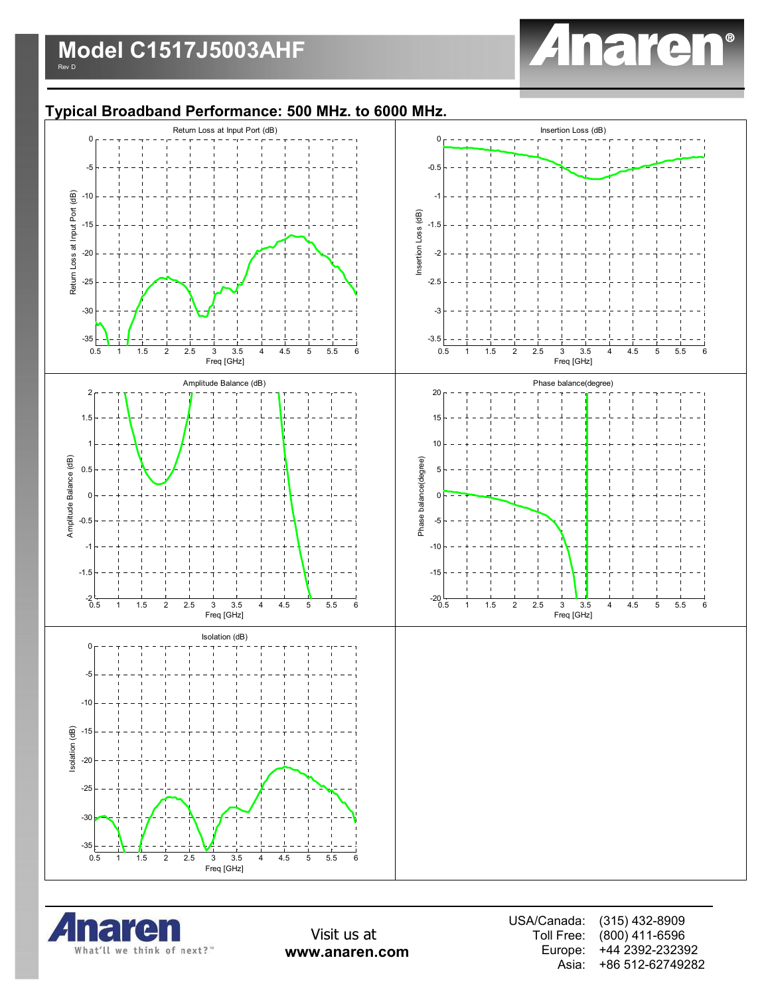

### **Typical Broadband Performance: 500 MHz. to 6000 MHz.**





Visit us at **www.anaren.com** USA/Canada: Toll Free: Europe: Asia: (315) 432-8909 (800) 411-6596 +44 2392-232392 +86 512-62749282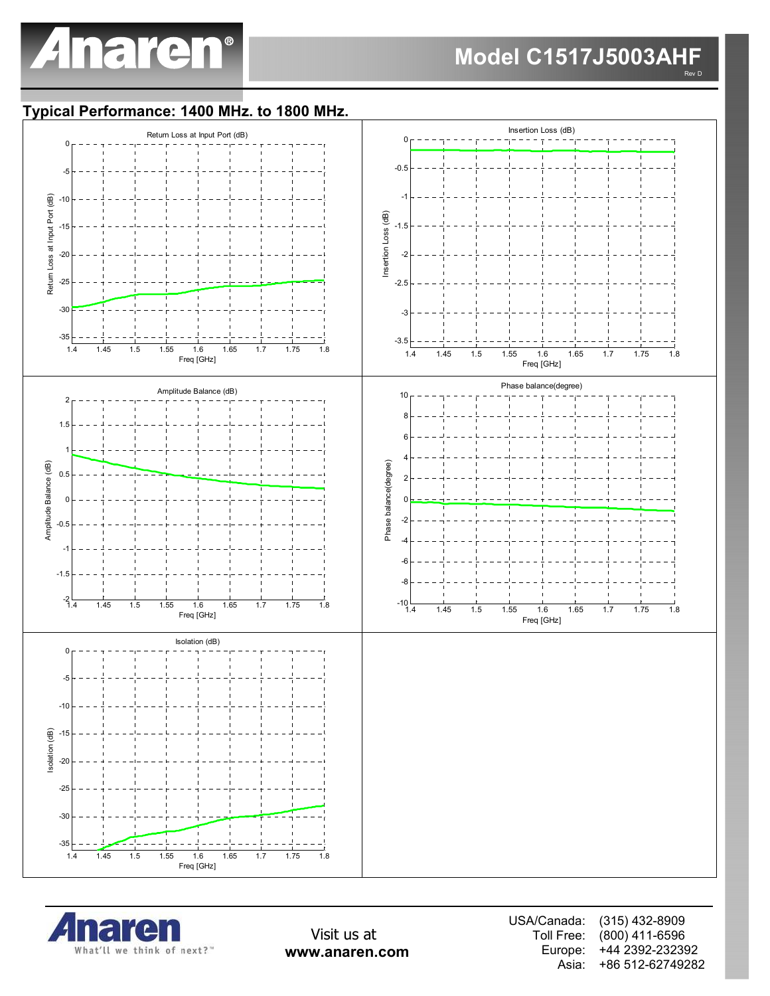

### **Model C1517J5003AHF** Rev D

### **Typical Performance: 1400 MHz. to 1800 MHz.**





Visit us at **www.anaren.com** USA/Canada: Toll Free: Europe: Asia: (315) 432-8909 (800) 411-6596 +44 2392-232392 +86 512-62749282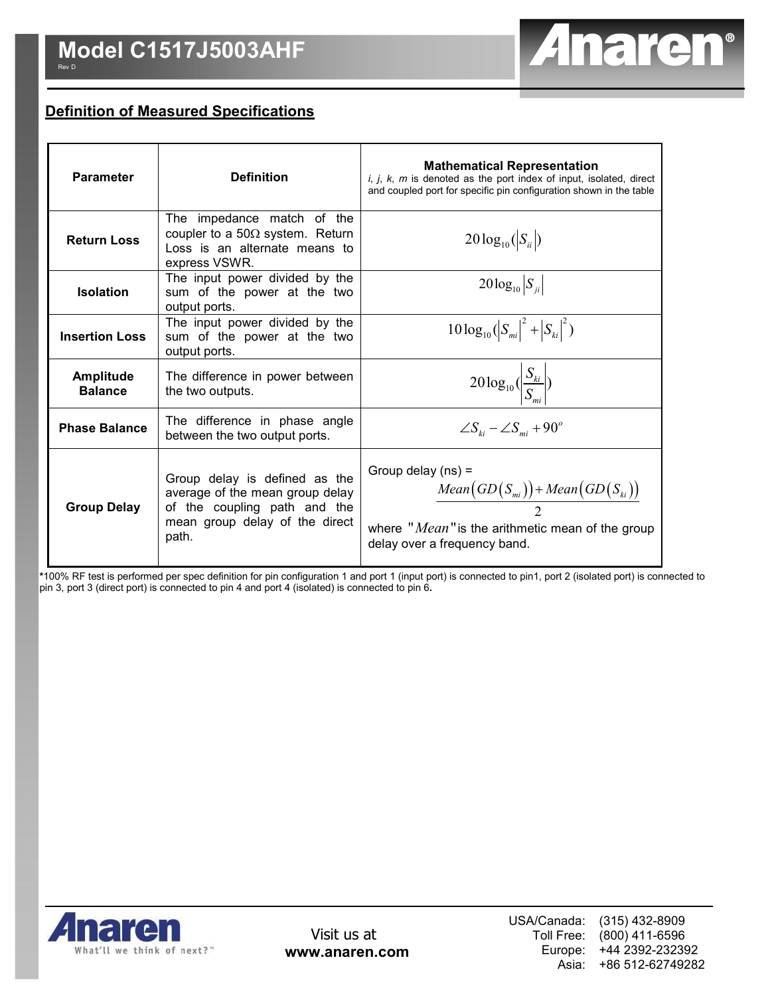

# **Definition of Measured Specifications**

| <b>Parameter</b>                   | <b>Definition</b>                                                                                                                           | <b>Mathematical Representation</b><br>$i, j, k, m$ is denoted as the port index of input, isolated, direct<br>and coupled port for specific pin configuration shown in the table |  |  |
|------------------------------------|---------------------------------------------------------------------------------------------------------------------------------------------|----------------------------------------------------------------------------------------------------------------------------------------------------------------------------------|--|--|
| <b>Return Loss</b>                 | The impedance match of the<br>coupler to a 50 $\Omega$ system. Return<br>Loss is an alternate means to<br>express VSWR.                     | $20\log_{10}( S_{ii} )$                                                                                                                                                          |  |  |
| <b>Isolation</b>                   | The input power divided by the<br>sum of the power at the two<br>output ports.                                                              | $20\log_{10} S_{ii} $                                                                                                                                                            |  |  |
| <b>Insertion Loss</b>              | The input power divided by the<br>sum of the power at the two<br>output ports.                                                              | $10\log_{10}( S_{mi} ^2 +  S_{ki} ^2)$                                                                                                                                           |  |  |
| <b>Amplitude</b><br><b>Balance</b> | The difference in power between<br>the two outputs.                                                                                         | $20\log_{10}\left(\frac{S_{ki}}{S}\right)$                                                                                                                                       |  |  |
| <b>Phase Balance</b>               | The difference in phase angle<br>between the two output ports.                                                                              | $\angle S_{ki} - \angle S_{mi} + 90^\circ$                                                                                                                                       |  |  |
| <b>Group Delay</b>                 | Group delay is defined as the<br>average of the mean group delay<br>of the coupling path and the<br>mean group delay of the direct<br>path. | Group delay $(ns)$ =<br>$Mean(GD(S_{mi})) + Mean(GD(S_{ki}))$<br>where " <i>Mean</i> " is the arithmetic mean of the group<br>delay over a frequency band.                       |  |  |

**\***100% RF test is performed per spec definition for pin configuration 1 and port 1 (input port) is connected to pin1, port 2 (isolated port) is connected to pin 3, port 3 (direct port) is connected to pin 4 and port 4 (isolated) is connected to pin 6**.** 

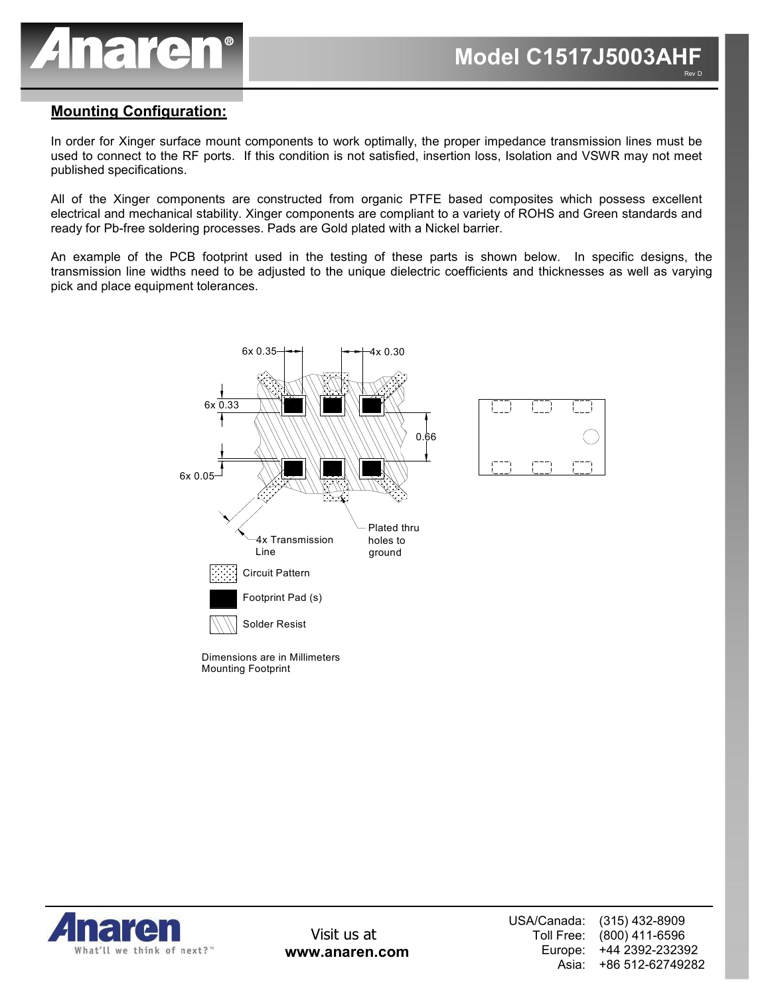

### **Mounting Configuration:**

In order for Xinger surface mount components to work optimally, the proper impedance transmission lines must be used to connect to the RF ports. If this condition is not satisfied, insertion loss, Isolation and VSWR may not meet published specifications.

All of the Xinger components are constructed from organic PTFE based composites which possess excellent electrical and mechanical stability. Xinger components are compliant to a variety of ROHS and Green standards and ready for Pb-free soldering processes. Pads are Gold plated with a Nickel barrier.

An example of the PCB footprint used in the testing of these parts is shown below. In specific designs, the transmission line widths need to be adjusted to the unique dielectric coefficients and thicknesses as well as varying pick and place equipment tolerances.



Mounting Footprint Dimensions are in Millimeters